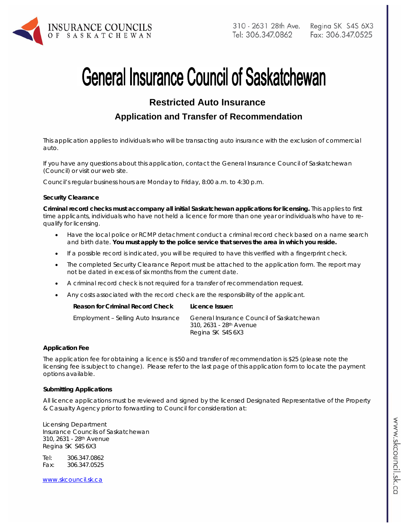

# **General Insurance Council of Saskatchewan**

# **Restricted Auto Insurance**

# **Application and Transfer of Recommendation**

*This application applies to individuals who will be transacting auto insurance with the exclusion of commercial auto.* 

If you have any questions about this application, contact the General Insurance Council of Saskatchewan (Council) or visit our web site.

Council's regular business hours are Monday to Friday, 8:00 a.m. to 4:30 p.m.

#### **Security Clearance**

**Criminal record checks must accompany all initial Saskatchewan applications for licensing.** This applies to first time applicants, individuals who have not held a licence for more than one year or individuals who have to requalify for licensing.

- Have the local police or RCMP detachment conduct a criminal record check based on a name search and birth date. **You must apply to the police service that serves the area in which you reside.**
- If a possible record is indicated, you will be required to have this verified with a fingerprint check.
- The completed Security Clearance Report must be attached to the application form. The report may not be dated in excess of six months from the current date.
- A criminal record check is not required for a transfer of recommendation request.
- Any costs associated with the record check are the responsibility of the applicant.

| Reason for Criminal Record Check    | Licence Issuer:                                                                  |
|-------------------------------------|----------------------------------------------------------------------------------|
| Employment - Selling Auto Insurance | General Insurance Council of Saskatchewan<br>310, 2631 - 28 <sup>th</sup> Avenue |
|                                     | Regina SK S4S 6X3                                                                |

#### **Application Fee**

The application fee for obtaining a licence is \$50 and transfer of recommendation is \$25 (please note the licensing fee is subject to change). Please refer to the last page of this application form to locate the payment options available.

#### **Submitting Applications**

All licence applications must be reviewed and signed by the licensed Designated Representative of the Property & Casualty Agency prior to forwarding to Council for consideration at:

Licensing Department Insurance Councils of Saskatchewan 310, 2631 - 28th Avenue Regina SK S4S 6X3

Tel: 306.347.0862 Fax: 306.347.0525

www.skcouncil.sk.ca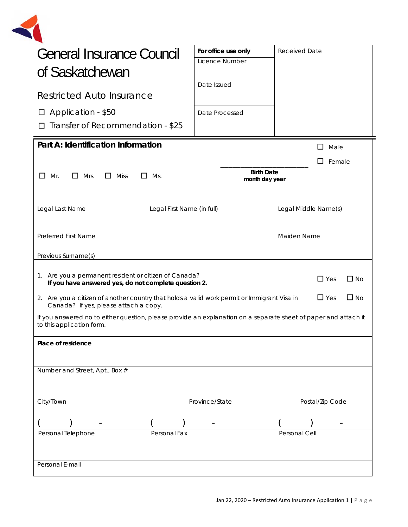

| <b>General Insurance Council</b><br>of Saskatchewan                                                                                          | For office use only<br>Licence Number<br>Date Issued | <b>Received Date</b>       |  |
|----------------------------------------------------------------------------------------------------------------------------------------------|------------------------------------------------------|----------------------------|--|
| <b>Restricted Auto Insurance</b>                                                                                                             |                                                      |                            |  |
| Application - \$50<br>$\Box$                                                                                                                 | Date Processed                                       |                            |  |
| Transfer of Recommendation - \$25                                                                                                            |                                                      |                            |  |
| Part A: Identification Information                                                                                                           |                                                      | Male<br>$\mathbf{I}$       |  |
|                                                                                                                                              |                                                      | l l<br>Female              |  |
| Mrs.<br>$\Box$ Miss<br>$\Box$<br>Mr.<br>$\Box$<br>$\Box$ Ms.                                                                                 | <b>Birth Date</b><br>month day year                  |                            |  |
| Legal Last Name<br>Legal First Name (in full)                                                                                                |                                                      | Legal Middle Name(s)       |  |
| <b>Preferred First Name</b>                                                                                                                  |                                                      | Maiden Name                |  |
| Previous Surname(s)                                                                                                                          |                                                      |                            |  |
| 1. Are you a permanent resident or citizen of Canada?<br>$\square$ No<br>$\Box$ Yes<br>If you have answered yes, do not complete question 2. |                                                      |                            |  |
| 2. Are you a citizen of another country that holds a valid work permit or Immigrant Visa in<br>Canada? If yes, please attach a copy.         |                                                      | $\square$ No<br>$\Box$ Yes |  |
| If you answered no to either question, please provide an explanation on a separate sheet of paper and attach it<br>to this application form. |                                                      |                            |  |
| Place of residence                                                                                                                           |                                                      |                            |  |
| Number and Street, Apt., Box #                                                                                                               |                                                      |                            |  |
|                                                                                                                                              |                                                      |                            |  |
| City/Town                                                                                                                                    | Province/State                                       | Postal/Zip Code            |  |
|                                                                                                                                              |                                                      |                            |  |
| Personal Telephone<br>Personal Fax                                                                                                           |                                                      | Personal Cell              |  |
| Personal E-mail                                                                                                                              |                                                      |                            |  |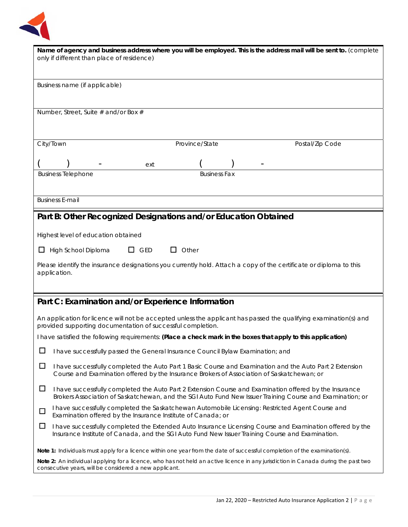

| Name of agency and business address where you will be employed. This is the address mail will be sent to. (complete                                                                                                       |  |  |
|---------------------------------------------------------------------------------------------------------------------------------------------------------------------------------------------------------------------------|--|--|
| only if different than place of residence)                                                                                                                                                                                |  |  |
|                                                                                                                                                                                                                           |  |  |
| Business name (if applicable)                                                                                                                                                                                             |  |  |
|                                                                                                                                                                                                                           |  |  |
|                                                                                                                                                                                                                           |  |  |
| Number, Street, Suite # and/or Box #                                                                                                                                                                                      |  |  |
|                                                                                                                                                                                                                           |  |  |
| City/Town<br>Province/State<br>Postal/Zip Code                                                                                                                                                                            |  |  |
|                                                                                                                                                                                                                           |  |  |
| ext                                                                                                                                                                                                                       |  |  |
| <b>Business Telephone</b><br><b>Business Fax</b>                                                                                                                                                                          |  |  |
|                                                                                                                                                                                                                           |  |  |
| <b>Business E-mail</b>                                                                                                                                                                                                    |  |  |
| Part B: Other Recognized Designations and/or Education Obtained                                                                                                                                                           |  |  |
|                                                                                                                                                                                                                           |  |  |
| Highest level of education obtained                                                                                                                                                                                       |  |  |
| $\Box$ GED<br>$\Box$ Other<br>$\Box$ High School Diploma                                                                                                                                                                  |  |  |
| Please identify the insurance designations you currently hold. Attach a copy of the certificate or diploma to this                                                                                                        |  |  |
| application.                                                                                                                                                                                                              |  |  |
|                                                                                                                                                                                                                           |  |  |
| Part C: Examination and/or Experience Information                                                                                                                                                                         |  |  |
|                                                                                                                                                                                                                           |  |  |
| An application for licence will not be accepted unless the applicant has passed the qualifying examination(s) and<br>provided supporting documentation of successful completion.                                          |  |  |
| I have satisfied the following requirements: (Place a check mark in the boxes that apply to this application)                                                                                                             |  |  |
| $\Box$<br>I have successfully passed the General Insurance Council Bylaw Examination; and                                                                                                                                 |  |  |
| $\Box$<br>I have successfully completed the Auto Part 1 Basic Course and Examination and the Auto Part 2 Extension<br>Course and Examination offered by the Insurance Brokers of Association of Saskatchewan; or          |  |  |
| □<br>I have successfully completed the Auto Part 2 Extension Course and Examination offered by the Insurance<br>Brokers Association of Saskatchewan, and the SGI Auto Fund New Issuer Training Course and Examination; or |  |  |
| I have successfully completed the Saskatchewan Automobile Licensing: Restricted Agent Course and<br>$\Box$<br>Examination offered by the Insurance Institute of Canada; or                                                |  |  |
| ப<br>I have successfully completed the Extended Auto Insurance Licensing Course and Examination offered by the<br>Insurance Institute of Canada, and the SGI Auto Fund New Issuer Training Course and Examination.        |  |  |
| Note 1: Individuals must apply for a licence within one year from the date of successful completion of the examination(s).                                                                                                |  |  |
| Note 2: An individual applying for a licence, who has not held an active licence in any jurisdiction in Canada during the past two<br>consecutive years, will be considered a new applicant.                              |  |  |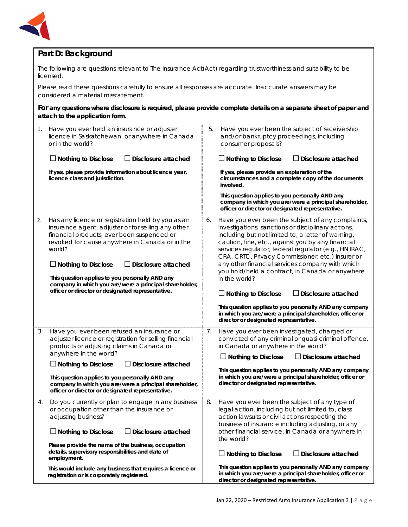

# **Part D: Background**

The following are questions relevant to *The Insurance Act*(Act) regarding trustworthiness and suitability to be licensed.

Please read these questions carefully to ensure all responses are accurate. Inaccurate answers may be considered a material misstatement.

**For any questions where disclosure is required, please provide complete details on a separate sheet of paper and attach to the application form.**

| 1. | Have you ever held an insurance or adjuster<br>licence in Saskatchewan, or anywhere in Canada<br>or in the world?                                                                                                 | 5. | Have you ever been the subject of receivership<br>and/or bankruptcy proceedings, including<br>consumer proposals?                                                                                                                                                                                                                |
|----|-------------------------------------------------------------------------------------------------------------------------------------------------------------------------------------------------------------------|----|----------------------------------------------------------------------------------------------------------------------------------------------------------------------------------------------------------------------------------------------------------------------------------------------------------------------------------|
|    | $\Box$ Nothing to Disclose<br>Disclosure attached                                                                                                                                                                 |    | $\Box$ Nothing to Disclose<br>$\Box$ Disclosure attached                                                                                                                                                                                                                                                                         |
|    | If yes, please provide information about licence year,<br>licence class and jurisdiction.                                                                                                                         |    | If yes, please provide an explanation of the<br>circumstances and a complete copy of the documents<br>involved.                                                                                                                                                                                                                  |
|    |                                                                                                                                                                                                                   |    | This question applies to you personally AND any<br>company in which you are/were a principal shareholder,<br>officer or director or designated representative.                                                                                                                                                                   |
| 2. | Has any licence or registration held by you as an<br>insurance agent, adjuster or for selling any other<br>financial products, ever been suspended or<br>revoked for cause anywhere in Canada or in the<br>world? | 6. | Have you ever been the subject of any complaints,<br>investigations, sanctions or disciplinary actions,<br>including but not limited to, a letter of warning,<br>caution, fine, etc., against you by any financial<br>services regulator, federal regulator (e.g., FINTRAC,<br>CRA, CRTC, Privacy Commissioner, etc.) insurer or |
|    | $\Box$ Nothing to Disclose<br>Disclosure attached                                                                                                                                                                 |    | any other financial services company with which<br>you hold/held a contract, in Canada or anywhere                                                                                                                                                                                                                               |
|    | This question applies to you personally AND any<br>company in which you are/were a principal shareholder,<br>officer or director or designated representative.                                                    |    | in the world?                                                                                                                                                                                                                                                                                                                    |
|    |                                                                                                                                                                                                                   |    | $\Box$ Nothing to Disclose<br>Disclosure attached                                                                                                                                                                                                                                                                                |
|    |                                                                                                                                                                                                                   |    | This question applies to you personally AND any company<br>in which you are/were a principal shareholder, officer or<br>director or designated representative.                                                                                                                                                                   |
| 3. | Have you ever been refused an insurance or<br>adjuster licence or registration for selling financial<br>products or adjusting claims in Canada or<br>anywhere in the world?                                       | 7. | Have you ever been investigated, charged or<br>convicted of any criminal or quasi-criminal offence,<br>in Canada or anywhere in the world?                                                                                                                                                                                       |
|    | $\Box$ Nothing to Disclose<br>$\Box$ Disclosure attached                                                                                                                                                          |    | $\Box$ Nothing to Disclose<br>$\Box$ Disclosure attached                                                                                                                                                                                                                                                                         |
|    | This question applies to you personally AND any<br>company in which you are/were a principal shareholder,<br>officer or director or designated representative.                                                    |    | This question applies to you personally AND any company<br>in which you are/were a principal shareholder, officer or<br>director or designated representative.                                                                                                                                                                   |
| 4. | Do you currently or plan to engage in any business<br>or occupation other than the insurance or<br>adjusting business?                                                                                            | 8. | Have you ever been the subject of any type of<br>legal action, including but not limited to, class<br>action lawsuits or civil actions respecting the<br>business of insurance including adjusting, or any                                                                                                                       |
|    | $\Box$ Disclosure attached<br>$\Box$ Nothing to Disclose                                                                                                                                                          |    | other financial service, in Canada or anywhere in<br>the world?                                                                                                                                                                                                                                                                  |
|    | Please provide the name of the business, occupation<br>details, supervisory responsibilities and date of<br>employment.                                                                                           |    | $\Box$ Nothing to Disclose<br>$\Box$ Disclosure attached                                                                                                                                                                                                                                                                         |
|    | This would include any business that requires a licence or<br>registration or is corporately registered.                                                                                                          |    | This question applies to you personally AND any company<br>in which you are/were a principal shareholder, officer or<br>director or designated representative.                                                                                                                                                                   |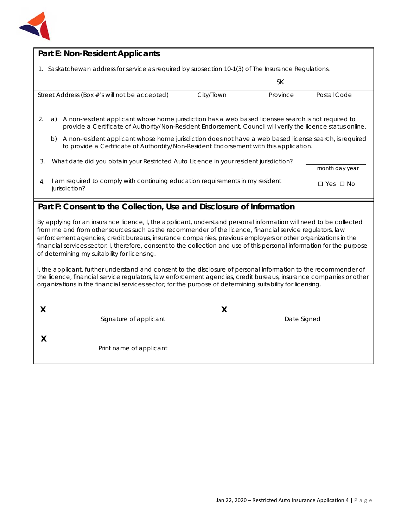

# **Part E: Non-Resident Applicants**

1. Saskatchewan address for service as required by subsection 10-1(3) of *The Insurance Regulations.*

|                                                                                                              |                                                                                                                                                                                                                          |           | <b>SK</b> |             |
|--------------------------------------------------------------------------------------------------------------|--------------------------------------------------------------------------------------------------------------------------------------------------------------------------------------------------------------------------|-----------|-----------|-------------|
|                                                                                                              | Street Address (Box #'s will not be accepted)                                                                                                                                                                            | City/Town | Province  | Postal Code |
| 2.                                                                                                           | A non-resident applicant whose home jurisdiction has a web based licensee search is not required to<br>a)<br>provide a Certificate of Authority/Non-Resident Endorsement. Council will verify the licence status online. |           |           |             |
|                                                                                                              | A non-resident applicant whose home jurisdiction does not have a web based license search, is required<br>b)<br>to provide a Certificate of Authordity/Non-Resident Endorsement with this application.                   |           |           |             |
| What date did you obtain your Restricted Auto Licence in your resident jurisdiction?<br>3.<br>month day year |                                                                                                                                                                                                                          |           |           |             |
| $\mathbf{4}$                                                                                                 | am required to comply with continuing education requirements in my resident<br>iurisdiction?                                                                                                                             |           |           | □ Yes □ No  |

## **Part F: Consent to the Collection, Use and Disclosure of Information**

By applying for an insurance licence, I, the applicant, understand personal information will need to be collected from me and from other sources such as the recommender of the licence, financial service regulators, law enforcement agencies, credit bureaus, insurance companies, previous employers or other organizations in the financial services sector. I, therefore, consent to the collection and use of this personal information for the purpose of determining my suitability for licensing.

I, the applicant, further understand and consent to the disclosure of personal information to the recommender of the licence, financial service regulators, law enforcement agencies, credit bureaus, insurance companies or other organizations in the financial services sector, for the purpose of determining suitability for licensing.

| Signature of applicant  | Date Signed |
|-------------------------|-------------|
|                         |             |
| Print name of applicant |             |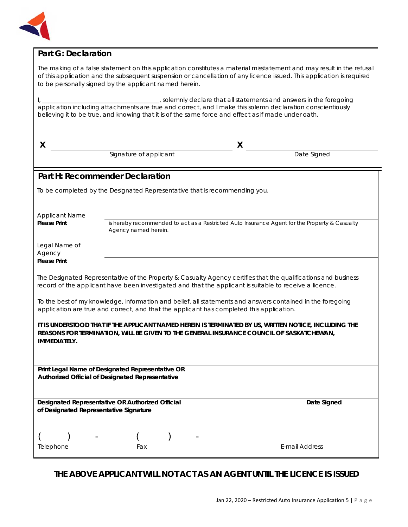

## **Part G: Declaration**

The making of a false statement on this application constitutes a material misstatement and may result in the refusal of this application and the subsequent suspension or cancellation of any licence issued. This application is required to be personally signed by the applicant named herein.

I, \_\_\_\_\_\_\_\_\_\_\_\_\_\_\_\_\_\_\_\_\_\_\_\_\_\_\_\_\_\_\_\_\_\_\_\_\_\_\_, solemnly declare that all statements and answers in the foregoing application including attachments are true and correct, and I make this solemn declaration conscientiously believing it to be true, and knowing that it is of the same force and effect as if made under oath.

|   | $\mathbf{v}$ |
|---|--------------|
| X | Λ            |

Signature of applicant Date Signed

## **Part H: Recommender Declaration**

To be completed by the Designated Representative that is recommending you.

| Applicant Name |                                                                                               |
|----------------|-----------------------------------------------------------------------------------------------|
| Please Print   | is hereby recommended to act as a Restricted Auto Insurance Agent for the Property & Casualty |
|                | Agency named herein.                                                                          |

Legal Name of Agency *Please Print* 

The Designated Representative of the Property & Casualty Agency certifies that the qualifications and business record of the applicant have been investigated and that the applicant is suitable to receive a licence.

To the best of my knowledge, information and belief, all statements and answers contained in the foregoing application are true and correct, and that the applicant has completed this application.

**IT IS UNDERSTOOD THAT IF THE APPLICANT NAMED HEREIN IS TERMINATED BY US, WRITTEN NOTICE, INCLUDING THE REASONS FOR TERMINATION, WILL BE GIVEN TO THE GENERAL INSURANCE COUNCIL OF SASKATCHEWAN, IMMEDIATELY.**

**Print Legal Name of Designated Representative OR Authorized Official of Designated Representative** 

**Designated Representative OR Authorized Official of Designated Representative Signature** 

**Date Signed** 

 $($  ) - ( ) -

Telephone **Fax** Fax **E-mail Address** 

## **THE ABOVE APPLICANT WILL NOT ACT AS AN AGENT UNTIL THE LICENCE IS ISSUED**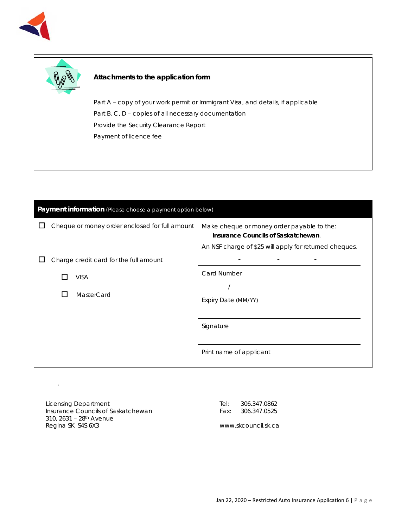



#### **Attachments to the application form**

Part A – copy of your work permit or Immigrant Visa, and details, if applicable Part B, C, D – copies of all necessary documentation Provide the Security Clearance Report Payment of licence fee

| Payment information (Please choose a payment option below) |              |                                                |                                                                                                                                             |
|------------------------------------------------------------|--------------|------------------------------------------------|---------------------------------------------------------------------------------------------------------------------------------------------|
|                                                            |              | Cheque or money order enclosed for full amount | Make cheque or money order payable to the:<br>Insurance Councils of Saskatchewan.<br>An NSF charge of \$25 will apply for returned cheques. |
|                                                            |              | Charge credit card for the full amount         |                                                                                                                                             |
|                                                            |              | <b>VISA</b>                                    | <b>Card Number</b>                                                                                                                          |
|                                                            | $\mathsf{L}$ |                                                |                                                                                                                                             |
|                                                            |              | MasterCard                                     | Expiry Date (MM/YY)                                                                                                                         |
|                                                            |              |                                                |                                                                                                                                             |
|                                                            |              |                                                | Signature                                                                                                                                   |
|                                                            |              |                                                |                                                                                                                                             |
|                                                            |              |                                                | Print name of applicant                                                                                                                     |
|                                                            |              |                                                |                                                                                                                                             |

Licensing Department Insurance Councils of Saskatchewan 310, 2631 – 28th Avenue Regina SK S4S 6X3

.

Tel: 306.347.0862 Fax: 306.347.0525

www.skcouncil.sk.ca